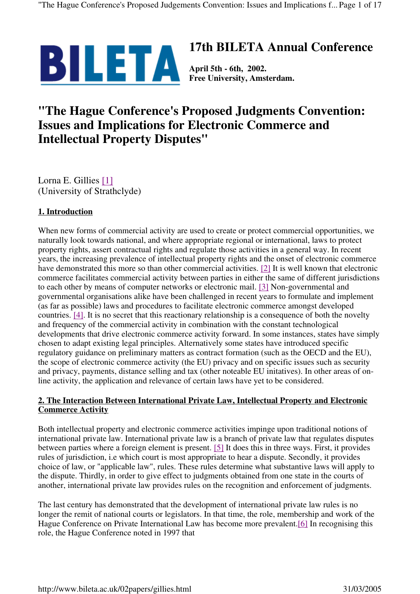

# **17th BILETA Annual Conference**

**Free University, Amsterdam.**

# **"The Hague Conference's Proposed Judgments Convention: Issues and Implications for Electronic Commerce and Intellectual Property Disputes"**

Lorna E. Gillies [1] (University of Strathclyde)

# **1. Introduction**

When new forms of commercial activity are used to create or protect commercial opportunities, we naturally look towards national, and where appropriate regional or international, laws to protect property rights, assert contractual rights and regulate those activities in a general way. In recent years, the increasing prevalence of intellectual property rights and the onset of electronic commerce have demonstrated this more so than other commercial activities. [2] It is well known that electronic commerce facilitates commercial activity between parties in either the same of different jurisdictions to each other by means of computer networks or electronic mail. [3] Non-governmental and governmental organisations alike have been challenged in recent years to formulate and implement (as far as possible) laws and procedures to facilitate electronic commerce amongst developed countries. [4]. It is no secret that this reactionary relationship is a consequence of both the novelty and frequency of the commercial activity in combination with the constant technological developments that drive electronic commerce activity forward. In some instances, states have simply chosen to adapt existing legal principles. Alternatively some states have introduced specific regulatory guidance on preliminary matters as contract formation (such as the OECD and the EU), the scope of electronic commerce activity (the EU) privacy and on specific issues such as security and privacy, payments, distance selling and tax (other noteable EU initatives). In other areas of online activity, the application and relevance of certain laws have yet to be considered.

## **2. The Interaction Between International Private Law, Intellectual Property and Electronic Commerce Activity**

Both intellectual property and electronic commerce activities impinge upon traditional notions of international private law. International private law is a branch of private law that regulates disputes between parties where a foreign element is present. [5] It does this in three ways. First, it provides rules of jurisdiction, i.e which court is most appropriate to hear a dispute. Secondly, it provides choice of law, or "applicable law", rules. These rules determine what substantive laws will apply to the dispute. Thirdly, in order to give effect to judgments obtained from one state in the courts of another, international private law provides rules on the recognition and enforcement of judgments.

The last century has demonstrated that the development of international private law rules is no longer the remit of national courts or legislators. In that time, the role, membership and work of the Hague Conference on Private International Law has become more prevalent.[6] In recognising this role, the Hague Conference noted in 1997 that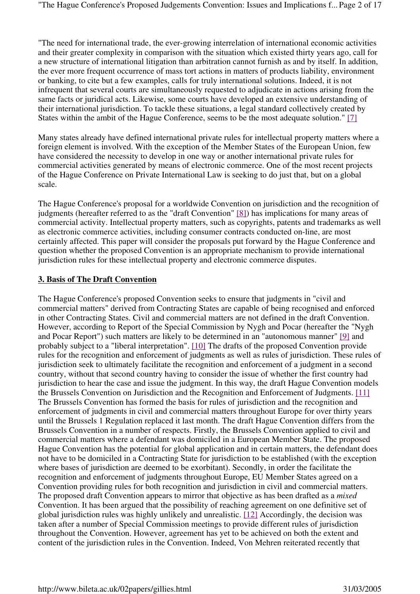"The need for international trade, the ever-growing interrelation of international economic activities and their greater complexity in comparison with the situation which existed thirty years ago, call for a new structure of international litigation than arbitration cannot furnish as and by itself. In addition, the ever more frequent occurrence of mass tort actions in matters of products liability, environment or banking, to cite but a few examples, calls for truly international solutions. Indeed, it is not infrequent that several courts are simultaneously requested to adjudicate in actions arising from the same facts or juridical acts. Likewise, some courts have developed an extensive understanding of their international jurisdiction. To tackle these situations, a legal standard collectively created by States within the ambit of the Hague Conference, seems to be the most adequate solution." [7]

Many states already have defined international private rules for intellectual property matters where a foreign element is involved. With the exception of the Member States of the European Union, few have considered the necessity to develop in one way or another international private rules for commercial activities generated by means of electronic commerce. One of the most recent projects of the Hague Conference on Private International Law is seeking to do just that, but on a global scale.

The Hague Conference's proposal for a worldwide Convention on jurisdiction and the recognition of judgments (hereafter referred to as the "draft Convention" [8]) has implications for many areas of commercial activity. Intellectual property matters, such as copyrights, patents and trademarks as well as electronic commerce activities, including consumer contracts conducted on-line, are most certainly affected. This paper will consider the proposals put forward by the Hague Conference and question whether the proposed Convention is an appropriate mechanism to provide international jurisdiction rules for these intellectual property and electronic commerce disputes.

#### **3. Basis of The Draft Convention**

The Hague Conference's proposed Convention seeks to ensure that judgments in "civil and commercial matters" derived from Contracting States are capable of being recognised and enforced in other Contracting States. Civil and commercial matters are not defined in the draft Convention. However, according to Report of the Special Commission by Nygh and Pocar (hereafter the "Nygh and Pocar Report") such matters are likely to be determined in an "autonomous manner" [9] and probably subject to a "liberal interpretation". [10] The drafts of the proposed Convention provide rules for the recognition and enforcement of judgments as well as rules of jurisdiction. These rules of jurisdiction seek to ultimately facilitate the recognition and enforcement of a judgment in a second country, without that second country having to consider the issue of whether the first country had jurisdiction to hear the case and issue the judgment. In this way, the draft Hague Convention models the Brussels Convention on Jurisdiction and the Recognition and Enforcement of Judgments. [11] The Brussels Convention has formed the basis for rules of jurisdiction and the recognition and enforcement of judgments in civil and commercial matters throughout Europe for over thirty years until the Brussels 1 Regulation replaced it last month. The draft Hague Convention differs from the Brussels Convention in a number of respects. Firstly, the Brussels Convention applied to civil and commercial matters where a defendant was domiciled in a European Member State. The proposed Hague Convention has the potential for global application and in certain matters, the defendant does not have to be domiciled in a Contracting State for jurisdiction to be established (with the exception where bases of jurisdiction are deemed to be exorbitant). Secondly, in order the facilitate the recognition and enforcement of judgments throughout Europe, EU Member States agreed on a Convention providing rules for both recognition and jurisdiction in civil and commercial matters. The proposed draft Convention appears to mirror that objective as has been drafted as a *mixed* Convention. It has been argued that the possibility of reaching agreement on one definitive set of global jurisdiction rules was highly unlikely and unrealistic. [12] Accordingly, the decision was taken after a number of Special Commission meetings to provide different rules of jurisdiction throughout the Convention. However, agreement has yet to be achieved on both the extent and content of the jurisdiction rules in the Convention. Indeed, Von Mehren reiterated recently that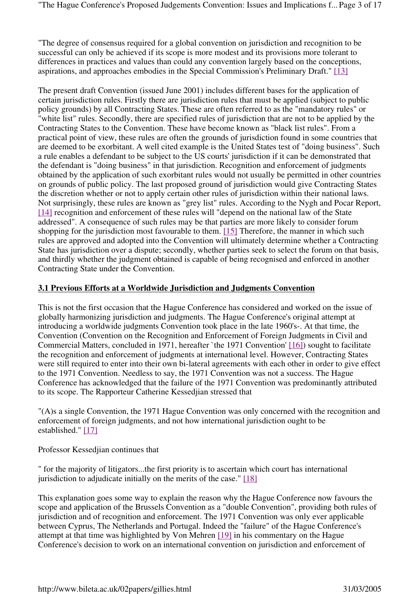"The degree of consensus required for a global convention on jurisdiction and recognition to be successful can only be achieved if its scope is more modest and its provisions more tolerant to differences in practices and values than could any convention largely based on the conceptions, aspirations, and approaches embodies in the Special Commission's Preliminary Draft." [13]

The present draft Convention (issued June 2001) includes different bases for the application of certain jurisdiction rules. Firstly there are jurisdiction rules that must be applied (subject to public policy grounds) by all Contracting States. These are often referred to as the "mandatory rules" or "white list" rules. Secondly, there are specified rules of jurisdiction that are not to be applied by the Contracting States to the Convention. These have become known as "black list rules". From a practical point of view, these rules are often the grounds of jurisdiction found in some countries that are deemed to be exorbitant. A well cited example is the United States test of "doing business". Such a rule enables a defendant to be subject to the US courts' jurisdiction if it can be demonstrated that the defendant is "doing business" in that jurisdiction. Recognition and enforcement of judgments obtained by the application of such exorbitant rules would not usually be permitted in other countries on grounds of public policy. The last proposed ground of jurisdiction would give Contracting States the discretion whether or not to apply certain other rules of jurisdiction within their national laws. Not surprisingly, these rules are known as "grey list" rules. According to the Nygh and Pocar Report, [14] recognition and enforcement of these rules will "depend on the national law of the State addressed". A consequence of such rules may be that parties are more likely to consider forum shopping for the jurisdiction most favourable to them. [15] Therefore, the manner in which such rules are approved and adopted into the Convention will ultimately determine whether a Contracting State has jurisdiction over a dispute; secondly, whether parties seek to select the forum on that basis, and thirdly whether the judgment obtained is capable of being recognised and enforced in another Contracting State under the Convention.

#### **3.1 Previous Efforts at a Worldwide Jurisdiction and Judgments Convention**

This is not the first occasion that the Hague Conference has considered and worked on the issue of globally harmonizing jurisdiction and judgments. The Hague Conference's original attempt at introducing a worldwide judgments Convention took place in the late 1960's-. At that time, the Convention (Convention on the Recognition and Enforcement of Foreign Judgments in Civil and Commercial Matters, concluded in 1971, hereafter `the 1971 Convention' [16]) sought to facilitate the recognition and enforcement of judgments at international level. However, Contracting States were still required to enter into their own bi-lateral agreements with each other in order to give effect to the 1971 Convention. Needless to say, the 1971 Convention was not a success. The Hague Conference has acknowledged that the failure of the 1971 Convention was predominantly attributed to its scope. The Rapporteur Catherine Kessedjian stressed that

"(A)s a single Convention, the 1971 Hague Convention was only concerned with the recognition and enforcement of foreign judgments, and not how international jurisdiction ought to be established." [17]

Professor Kessedjian continues that

" for the majority of litigators...the first priority is to ascertain which court has international jurisdiction to adjudicate initially on the merits of the case." [18]

This explanation goes some way to explain the reason why the Hague Conference now favours the scope and application of the Brussels Convention as a "double Convention", providing both rules of jurisdiction and of recognition and enforcement. The 1971 Convention was only ever applicable between Cyprus, The Netherlands and Portugal. Indeed the "failure" of the Hague Conference's attempt at that time was highlighted by Von Mehren [19] in his commentary on the Hague Conference's decision to work on an international convention on jurisdiction and enforcement of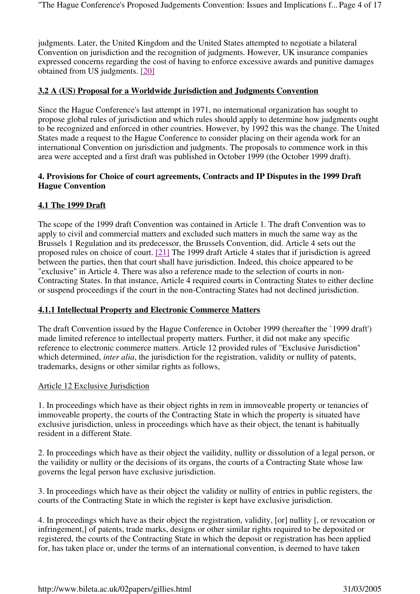judgments. Later, the United Kingdom and the United States attempted to negotiate a bilateral Convention on jurisdiction and the recognition of judgments. However, UK insurance companies expressed concerns regarding the cost of having to enforce excessive awards and punitive damages obtained from US judgments. [20]

#### **3.2 A (US) Proposal for a Worldwide Jurisdiction and Judgments Convention**

Since the Hague Conference's last attempt in 1971, no international organization has sought to propose global rules of jurisdiction and which rules should apply to determine how judgments ought to be recognized and enforced in other countries. However, by 1992 this was the change. The United States made a request to the Hague Conference to consider placing on their agenda work for an international Convention on jurisdiction and judgments. The proposals to commence work in this area were accepted and a first draft was published in October 1999 (the October 1999 draft).

#### **4. Provisions for Choice of court agreements, Contracts and IP Disputes in the 1999 Draft Hague Convention**

#### **4.1 The 1999 Draft**

The scope of the 1999 draft Convention was contained in Article 1. The draft Convention was to apply to civil and commercial matters and excluded such matters in much the same way as the Brussels 1 Regulation and its predecessor, the Brussels Convention, did. Article 4 sets out the proposed rules on choice of court. [21] The 1999 draft Article 4 states that if jurisdiction is agreed between the parties, then that court shall have jurisdiction. Indeed, this choice appeared to be "exclusive" in Article 4. There was also a reference made to the selection of courts in non-Contracting States. In that instance, Article 4 required courts in Contracting States to either decline or suspend proceedings if the court in the non-Contracting States had not declined jurisdiction.

#### **4.1.1 Intellectual Property and Electronic Commerce Matters**

The draft Convention issued by the Hague Conference in October 1999 (hereafter the `1999 draft') made limited reference to intellectual property matters. Further, it did not make any specific reference to electronic commerce matters. Article 12 provided rules of "Exclusive Jurisdiction" which determined, *inter alia*, the jurisdiction for the registration, validity or nullity of patents, trademarks, designs or other similar rights as follows,

#### Article 12 Exclusive Jurisdiction

1. In proceedings which have as their object rights in rem in immoveable property or tenancies of immoveable property, the courts of the Contracting State in which the property is situated have exclusive jurisdiction, unless in proceedings which have as their object, the tenant is habitually resident in a different State.

2. In proceedings which have as their object the vailidity, nullity or dissolution of a legal person, or the vailidity or nullity or the decisions of its organs, the courts of a Contracting State whose law governs the legal person have exclusive jurisdiction.

3. In proceedings which have as their object the validity or nullity of entries in public registers, the courts of the Contracting State in which the register is kept have exclusive jurisdiction.

4. In proceedings which have as their object the registration, validity, [or] nullity [, or revocation or infringement,] of patents, trade marks, designs or other similar rights required to be deposited or registered, the courts of the Contracting State in which the deposit or registration has been applied for, has taken place or, under the terms of an international convention, is deemed to have taken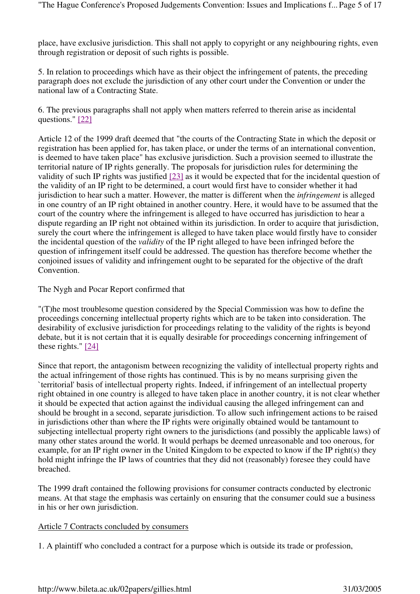place, have exclusive jurisdiction. This shall not apply to copyright or any neighbouring rights, even through registration or deposit of such rights is possible.

5. In relation to proceedings which have as their object the infringement of patents, the preceding paragraph does not exclude the jurisdiction of any other court under the Convention or under the national law of a Contracting State.

6. The previous paragraphs shall not apply when matters referred to therein arise as incidental questions." [22]

Article 12 of the 1999 draft deemed that "the courts of the Contracting State in which the deposit or registration has been applied for, has taken place, or under the terms of an international convention, is deemed to have taken place" has exclusive jurisdiction. Such a provision seemed to illustrate the territorial nature of IP rights generally. The proposals for jurisdiction rules for determining the validity of such IP rights was justified [23] as it would be expected that for the incidental question of the validity of an IP right to be determined, a court would first have to consider whether it had jurisdiction to hear such a matter. However, the matter is different when the *infringement* is alleged in one country of an IP right obtained in another country. Here, it would have to be assumed that the court of the country where the infringement is alleged to have occurred has jurisdiction to hear a dispute regarding an IP right not obtained within its jurisdiction. In order to acquire that jurisdiction, surely the court where the infringement is alleged to have taken place would firstly have to consider the incidental question of the *validity* of the IP right alleged to have been infringed before the question of infringement itself could be addressed. The question has therefore become whether the conjoined issues of validity and infringement ought to be separated for the objective of the draft Convention.

The Nygh and Pocar Report confirmed that

"(T)he most troublesome question considered by the Special Commission was how to define the proceedings concerning intellectual property rights which are to be taken into consideration. The desirability of exclusive jurisdiction for proceedings relating to the validity of the rights is beyond debate, but it is not certain that it is equally desirable for proceedings concerning infringement of these rights." [24]

Since that report, the antagonism between recognizing the validity of intellectual property rights and the actual infringement of those rights has continued. This is by no means surprising given the `territorial' basis of intellectual property rights. Indeed, if infringement of an intellectual property right obtained in one country is alleged to have taken place in another country, it is not clear whether it should be expected that action against the individual causing the alleged infringement can and should be brought in a second, separate jurisdiction. To allow such infringement actions to be raised in jurisdictions other than where the IP rights were originally obtained would be tantamount to subjecting intellectual property right owners to the jurisdictions (and possibly the applicable laws) of many other states around the world. It would perhaps be deemed unreasonable and too onerous, for example, for an IP right owner in the United Kingdom to be expected to know if the IP right(s) they hold might infringe the IP laws of countries that they did not (reasonably) foresee they could have breached.

The 1999 draft contained the following provisions for consumer contracts conducted by electronic means. At that stage the emphasis was certainly on ensuring that the consumer could sue a business in his or her own jurisdiction.

## Article 7 Contracts concluded by consumers

1. A plaintiff who concluded a contract for a purpose which is outside its trade or profession,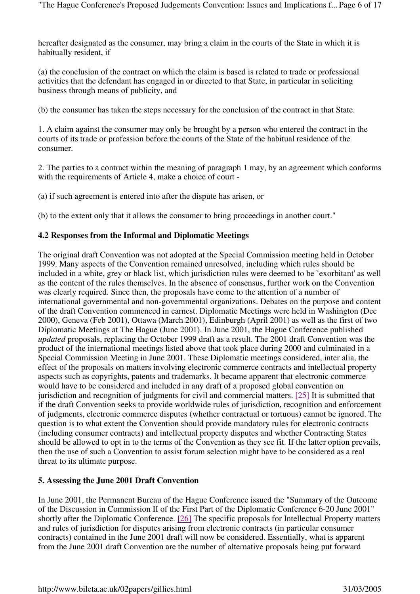hereafter designated as the consumer, may bring a claim in the courts of the State in which it is habitually resident, if

(a) the conclusion of the contract on which the claim is based is related to trade or professional activities that the defendant has engaged in or directed to that State, in particular in soliciting business through means of publicity, and

(b) the consumer has taken the steps necessary for the conclusion of the contract in that State.

1. A claim against the consumer may only be brought by a person who entered the contract in the courts of its trade or profession before the courts of the State of the habitual residence of the consumer.

2. The parties to a contract within the meaning of paragraph 1 may, by an agreement which conforms with the requirements of Article 4, make a choice of court -

(a) if such agreement is entered into after the dispute has arisen, or

(b) to the extent only that it allows the consumer to bring proceedings in another court."

#### **4.2 Responses from the Informal and Diplomatic Meetings**

The original draft Convention was not adopted at the Special Commission meeting held in October 1999. Many aspects of the Convention remained unresolved, including which rules should be included in a white, grey or black list, which jurisdiction rules were deemed to be `exorbitant' as well as the content of the rules themselves. In the absence of consensus, further work on the Convention was clearly required. Since then, the proposals have come to the attention of a number of international governmental and non-governmental organizations. Debates on the purpose and content of the draft Convention commenced in earnest. Diplomatic Meetings were held in Washington (Dec 2000), Geneva (Feb 2001), Ottawa (March 2001), Edinburgh (April 2001) as well as the first of two Diplomatic Meetings at The Hague (June 2001). In June 2001, the Hague Conference published *updated* proposals, replacing the October 1999 draft as a result. The 2001 draft Convention was the product of the international meetings listed above that took place during 2000 and culminated in a Special Commission Meeting in June 2001. These Diplomatic meetings considered, inter alia, the effect of the proposals on matters involving electronic commerce contracts and intellectual property aspects such as copyrights, patents and trademarks. It became apparent that electronic commerce would have to be considered and included in any draft of a proposed global convention on jurisdiction and recognition of judgments for civil and commercial matters. [25] It is submitted that if the draft Convention seeks to provide worldwide rules of jurisdiction, recognition and enforcement of judgments, electronic commerce disputes (whether contractual or tortuous) cannot be ignored. The question is to what extent the Convention should provide mandatory rules for electronic contracts (including consumer contracts) and intellectual property disputes and whether Contracting States should be allowed to opt in to the terms of the Convention as they see fit. If the latter option prevails, then the use of such a Convention to assist forum selection might have to be considered as a real threat to its ultimate purpose.

## **5. Assessing the June 2001 Draft Convention**

In June 2001, the Permanent Bureau of the Hague Conference issued the "Summary of the Outcome of the Discussion in Commission II of the First Part of the Diplomatic Conference 6-20 June 2001" shortly after the Diplomatic Conference. [26] The specific proposals for Intellectual Property matters and rules of jurisdiction for disputes arising from electronic contracts (in particular consumer contracts) contained in the June 2001 draft will now be considered. Essentially, what is apparent from the June 2001 draft Convention are the number of alternative proposals being put forward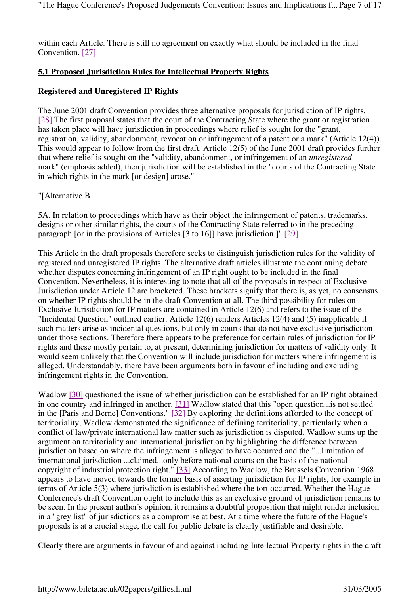within each Article. There is still no agreement on exactly what should be included in the final Convention. [27]

# **5.1 Proposed Jurisdiction Rules for Intellectual Property Rights**

# **Registered and Unregistered IP Rights**

The June 2001 draft Convention provides three alternative proposals for jurisdiction of IP rights. [28] The first proposal states that the court of the Contracting State where the grant or registration has taken place will have jurisdiction in proceedings where relief is sought for the "grant, registration, validity, abandonment, revocation or infringement of a patent or a mark" (Article 12(4)). This would appear to follow from the first draft. Article 12(5) of the June 2001 draft provides further that where relief is sought on the "validity, abandonment, or infringement of an *unregistered* mark" (emphasis added), then jurisdiction will be established in the "courts of the Contracting State in which rights in the mark [or design] arose."

## "[Alternative B

5A. In relation to proceedings which have as their object the infringement of patents, trademarks, designs or other similar rights, the courts of the Contracting State referred to in the preceding paragraph [or in the provisions of Articles [3 to 16]] have jurisdiction.]" [29]

This Article in the draft proposals therefore seeks to distinguish jurisdiction rules for the validity of registered and unregistered IP rights. The alternative draft articles illustrate the continuing debate whether disputes concerning infringement of an IP right ought to be included in the final Convention. Nevertheless, it is interesting to note that all of the proposals in respect of Exclusive Jurisdiction under Article 12 are bracketed. These brackets signify that there is, as yet, no consensus on whether IP rights should be in the draft Convention at all. The third possibility for rules on Exclusive Jurisdiction for IP matters are contained in Article 12(6) and refers to the issue of the "Incidental Question" outlined earlier. Article 12(6) renders Articles 12(4) and (5) inapplicable if such matters arise as incidental questions, but only in courts that do not have exclusive jurisdiction under those sections. Therefore there appears to be preference for certain rules of jurisdiction for IP rights and these mostly pertain to, at present, determining jurisdiction for matters of validity only. It would seem unlikely that the Convention will include jurisdiction for matters where infringement is alleged. Understandably, there have been arguments both in favour of including and excluding infringement rights in the Convention.

Wadlow [30] questioned the issue of whether jurisdiction can be established for an IP right obtained in one country and infringed in another. [31] Wadlow stated that this "open question...is not settled in the [Paris and Berne] Conventions." [32] By exploring the definitions afforded to the concept of territoriality, Wadlow demonstrated the significance of defining territoriality, particularly when a conflict of law/private international law matter such as jurisdiction is disputed. Wadlow sums up the argument on territoriality and international jurisdiction by highlighting the difference between jurisdiction based on where the infringement is alleged to have occurred and the "...limitation of international jurisdiction ...claimed...only before national courts on the basis of the national copyright of industrial protection right." [33] According to Wadlow, the Brussels Convention 1968 appears to have moved towards the former basis of asserting jurisdiction for IP rights, for example in terms of Article 5(3) where jurisdiction is established where the tort occurred. Whether the Hague Conference's draft Convention ought to include this as an exclusive ground of jurisdiction remains to be seen. In the present author's opinion, it remains a doubtful proposition that might render inclusion in a "grey list" of jurisdictions as a compromise at best. At a time where the future of the Hague's proposals is at a crucial stage, the call for public debate is clearly justifiable and desirable.

Clearly there are arguments in favour of and against including Intellectual Property rights in the draft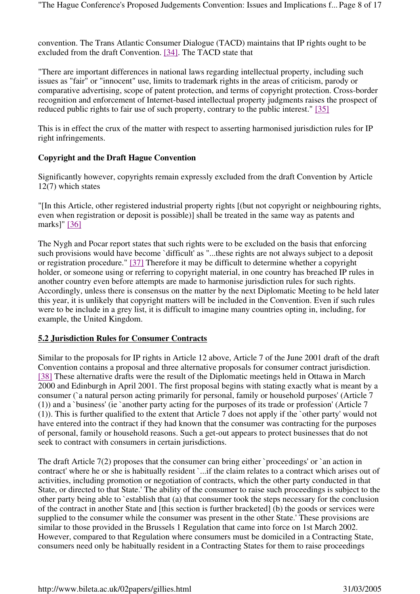convention. The Trans Atlantic Consumer Dialogue (TACD) maintains that IP rights ought to be excluded from the draft Convention. [34]. The TACD state that

"There are important differences in national laws regarding intellectual property, including such issues as "fair" or "innocent" use, limits to trademark rights in the areas of criticism, parody or comparative advertising, scope of patent protection, and terms of copyright protection. Cross-border recognition and enforcement of Internet-based intellectual property judgments raises the prospect of reduced public rights to fair use of such property, contrary to the public interest." [35]

This is in effect the crux of the matter with respect to asserting harmonised jurisdiction rules for IP right infringements.

## **Copyright and the Draft Hague Convention**

Significantly however, copyrights remain expressly excluded from the draft Convention by Article 12(7) which states

"[In this Article, other registered industrial property rights [(but not copyright or neighbouring rights, even when registration or deposit is possible)] shall be treated in the same way as patents and marks]" [36]

The Nygh and Pocar report states that such rights were to be excluded on the basis that enforcing such provisions would have become `difficult' as "...these rights are not always subject to a deposit or registration procedure." [37] Therefore it may be difficult to determine whether a copyright holder, or someone using or referring to copyright material, in one country has breached IP rules in another country even before attempts are made to harmonise jurisdiction rules for such rights. Accordingly, unless there is consensus on the matter by the next Diplomatic Meeting to be held later this year, it is unlikely that copyright matters will be included in the Convention. Even if such rules were to be include in a grey list, it is difficult to imagine many countries opting in, including, for example, the United Kingdom.

## **5.2 Jurisdiction Rules for Consumer Contracts**

Similar to the proposals for IP rights in Article 12 above, Article 7 of the June 2001 draft of the draft Convention contains a proposal and three alternative proposals for consumer contract jurisdiction. [38] These alternative drafts were the result of the Diplomatic meetings held in Ottawa in March 2000 and Edinburgh in April 2001. The first proposal begins with stating exactly what is meant by a consumer (`a natural person acting primarily for personal, family or household purposes' (Article 7 (1)) and a `business' (ie `another party acting for the purposes of its trade or profession' (Article 7 (1)). This is further qualified to the extent that Article 7 does not apply if the `other party' would not have entered into the contract if they had known that the consumer was contracting for the purposes of personal, family or household reasons. Such a get-out appears to protect businesses that do not seek to contract with consumers in certain jurisdictions.

The draft Article 7(2) proposes that the consumer can bring either `proceedings' or `an action in contract' where he or she is habitually resident `...if the claim relates to a contract which arises out of activities, including promotion or negotiation of contracts, which the other party conducted in that State, or directed to that State.' The ability of the consumer to raise such proceedings is subject to the other party being able to `establish that (a) that consumer took the steps necessary for the conclusion of the contract in another State and [this section is further bracketed] (b) the goods or services were supplied to the consumer while the consumer was present in the other State.' These provisions are similar to those provided in the Brussels 1 Regulation that came into force on 1st March 2002. However, compared to that Regulation where consumers must be domiciled in a Contracting State, consumers need only be habitually resident in a Contracting States for them to raise proceedings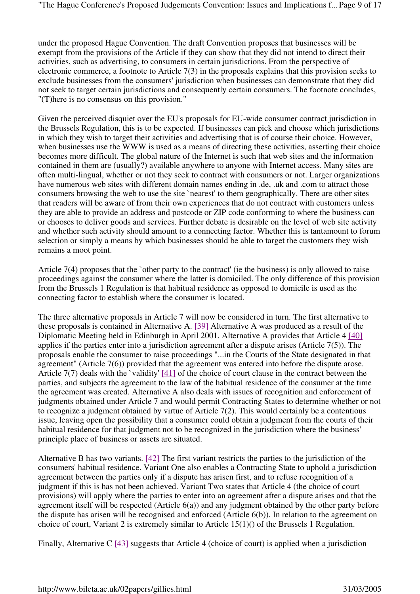under the proposed Hague Convention. The draft Convention proposes that businesses will be exempt from the provisions of the Article if they can show that they did not intend to direct their activities, such as advertising, to consumers in certain jurisdictions. From the perspective of electronic commerce, a footnote to Article 7(3) in the proposals explains that this provision seeks to exclude businesses from the consumers' jurisdiction when businesses can demonstrate that they did not seek to target certain jurisdictions and consequently certain consumers. The footnote concludes, "(T)here is no consensus on this provision."

Given the perceived disquiet over the EU's proposals for EU-wide consumer contract jurisdiction in the Brussels Regulation, this is to be expected. If businesses can pick and choose which jurisdictions in which they wish to target their activities and advertising that is of course their choice. However, when businesses use the WWW is used as a means of directing these activities, asserting their choice becomes more difficult. The global nature of the Internet is such that web sites and the information contained in them are (usually?) available anywhere to anyone with Internet access. Many sites are often multi-lingual, whether or not they seek to contract with consumers or not. Larger organizations have numerous web sites with different domain names ending in .de, .uk and .com to attract those consumers browsing the web to use the site `nearest' to them geographically. There are other sites that readers will be aware of from their own experiences that do not contract with customers unless they are able to provide an address and postcode or ZIP code conforming to where the business can or chooses to deliver goods and services. Further debate is desirable on the level of web site activity and whether such activity should amount to a connecting factor. Whether this is tantamount to forum selection or simply a means by which businesses should be able to target the customers they wish remains a moot point.

Article 7(4) proposes that the `other party to the contract' (ie the business) is only allowed to raise proceedings against the consumer where the latter is domiciled. The only difference of this provision from the Brussels 1 Regulation is that habitual residence as opposed to domicile is used as the connecting factor to establish where the consumer is located.

The three alternative proposals in Article 7 will now be considered in turn. The first alternative to these proposals is contained in Alternative A. [39] Alternative A was produced as a result of the Diplomatic Meeting held in Edinburgh in April 2001. Alternative A provides that Article 4 [40] applies if the parties enter into a jurisdiction agreement after a dispute arises (Article 7(5)). The proposals enable the consumer to raise proceedings "...in the Courts of the State designated in that agreement" (Article 7(6)) provided that the agreement was entered into before the dispute arose. Article 7(7) deals with the `validity' [41] of the choice of court clause in the contract between the parties, and subjects the agreement to the law of the habitual residence of the consumer at the time the agreement was created. Alternative A also deals with issues of recognition and enforcement of judgments obtained under Article 7 and would permit Contracting States to determine whether or not to recognize a judgment obtained by virtue of Article 7(2). This would certainly be a contentious issue, leaving open the possibility that a consumer could obtain a judgment from the courts of their habitual residence for that judgment not to be recognized in the jurisdiction where the business' principle place of business or assets are situated.

Alternative B has two variants. [42] The first variant restricts the parties to the jurisdiction of the consumers' habitual residence. Variant One also enables a Contracting State to uphold a jurisdiction agreement between the parties only if a dispute has arisen first, and to refuse recognition of a judgment if this is has not been achieved. Variant Two states that Article 4 (the choice of court provisions) will apply where the parties to enter into an agreement after a dispute arises and that the agreement itself will be respected (Article 6(a)) and any judgment obtained by the other party before the dispute has arisen will be recognised and enforced (Article 6(b)). In relation to the agreement on choice of court, Variant 2 is extremely similar to Article 15(1)() of the Brussels 1 Regulation.

Finally, Alternative C [43] suggests that Article 4 (choice of court) is applied when a jurisdiction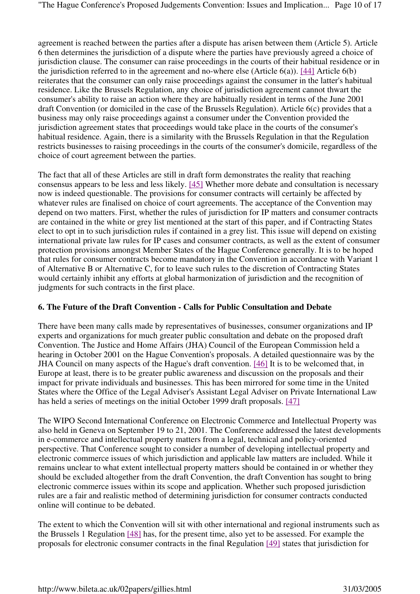agreement is reached between the parties after a dispute has arisen between them (Article 5). Article 6 then determines the jurisdiction of a dispute where the parties have previously agreed a choice of jurisdiction clause. The consumer can raise proceedings in the courts of their habitual residence or in the jurisdiction referred to in the agreement and no-where else (Article  $6(a)$ ). [44] Article  $6(b)$ reiterates that the consumer can only raise proceedings against the consumer in the latter's habitual residence. Like the Brussels Regulation, any choice of jurisdiction agreement cannot thwart the consumer's ability to raise an action where they are habitually resident in terms of the June 2001 draft Convention (or domiciled in the case of the Brussels Regulation). Article 6(c) provides that a business may only raise proceedings against a consumer under the Convention provided the jurisdiction agreement states that proceedings would take place in the courts of the consumer's habitual residence. Again, there is a similarity with the Brussels Regulation in that the Regulation restricts businesses to raising proceedings in the courts of the consumer's domicile, regardless of the choice of court agreement between the parties.

The fact that all of these Articles are still in draft form demonstrates the reality that reaching consensus appears to be less and less likely. [45] Whether more debate and consultation is necessary now is indeed questionable. The provisions for consumer contracts will certainly be affected by whatever rules are finalised on choice of court agreements. The acceptance of the Convention may depend on two matters. First, whether the rules of jurisdiction for IP matters and consumer contracts are contained in the white or grey list mentioned at the start of this paper, and if Contracting States elect to opt in to such jurisdiction rules if contained in a grey list. This issue will depend on existing international private law rules for IP cases and consumer contracts, as well as the extent of consumer protection provisions amongst Member States of the Hague Conference generally. It is to be hoped that rules for consumer contracts become mandatory in the Convention in accordance with Variant 1 of Alternative B or Alternative C, for to leave such rules to the discretion of Contracting States would certainly inhibit any efforts at global harmonization of jurisdiction and the recognition of judgments for such contracts in the first place.

#### **6. The Future of the Draft Convention - Calls for Public Consultation and Debate**

There have been many calls made by representatives of businesses, consumer organizations and IP experts and organizations for much greater public consultation and debate on the proposed draft Convention. The Justice and Home Affairs (JHA) Council of the European Commission held a hearing in October 2001 on the Hague Convention's proposals. A detailed questionnaire was by the JHA Council on many aspects of the Hague's draft convention. [46] It is to be welcomed that, in Europe at least, there is to be greater public awareness and discussion on the proposals and their impact for private individuals and businesses. This has been mirrored for some time in the United States where the Office of the Legal Adviser's Assistant Legal Adviser on Private International Law has held a series of meetings on the initial October 1999 draft proposals. [47]

The WIPO Second International Conference on Electronic Commerce and Intellectual Property was also held in Geneva on September 19 to 21, 2001. The Conference addressed the latest developments in e-commerce and intellectual property matters from a legal, technical and policy-oriented perspective. That Conference sought to consider a number of developing intellectual property and electronic commerce issues of which jurisdiction and applicable law matters are included. While it remains unclear to what extent intellectual property matters should be contained in or whether they should be excluded altogether from the draft Convention, the draft Convention has sought to bring electronic commerce issues within its scope and application. Whether such proposed jurisdiction rules are a fair and realistic method of determining jurisdiction for consumer contracts conducted online will continue to be debated.

The extent to which the Convention will sit with other international and regional instruments such as the Brussels 1 Regulation [48] has, for the present time, also yet to be assessed. For example the proposals for electronic consumer contracts in the final Regulation [49] states that jurisdiction for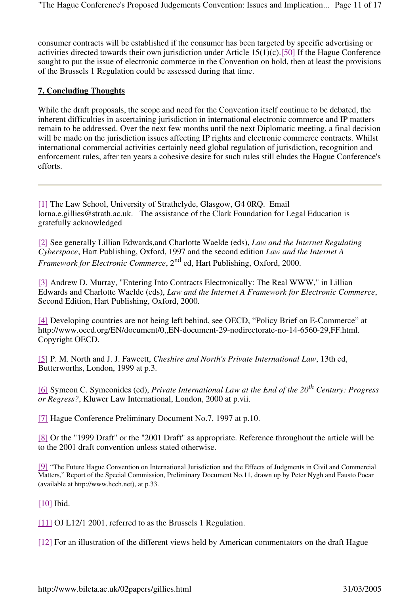consumer contracts will be established if the consumer has been targeted by specific advertising or activities directed towards their own jurisdiction under Article 15(1)(c).[50] If the Hague Conference sought to put the issue of electronic commerce in the Convention on hold, then at least the provisions of the Brussels 1 Regulation could be assessed during that time.

#### **7. Concluding Thoughts**

While the draft proposals, the scope and need for the Convention itself continue to be debated, the inherent difficulties in ascertaining jurisdiction in international electronic commerce and IP matters remain to be addressed. Over the next few months until the next Diplomatic meeting, a final decision will be made on the jurisdiction issues affecting IP rights and electronic commerce contracts. Whilst international commercial activities certainly need global regulation of jurisdiction, recognition and enforcement rules, after ten years a cohesive desire for such rules still eludes the Hague Conference's efforts.

[1] The Law School, University of Strathclyde, Glasgow, G4 0RQ. Email lorna.e.gillies@strath.ac.uk. The assistance of the Clark Foundation for Legal Education is gratefully acknowledged

[2] See generally Lillian Edwards,and Charlotte Waelde (eds), *Law and the Internet Regulating Cyberspace*, Hart Publishing, Oxford, 1997 and the second edition *Law and the Internet A Framework for Electronic Commerce*, 2nd ed, Hart Publishing, Oxford, 2000.

[3] Andrew D. Murray, "Entering Into Contracts Electronically: The Real WWW," in Lillian Edwards and Charlotte Waelde (eds), *Law and the Internet A Framework for Electronic Commerce*, Second Edition, Hart Publishing, Oxford, 2000.

[4] Developing countries are not being left behind, see OECD, "Policy Brief on E-Commerce" at http://www.oecd.org/EN/document/0,,EN-document-29-nodirectorate-no-14-6560-29,FF.html. Copyright OECD.

[5] P. M. North and J. J. Fawcett, *Cheshire and North's Private International Law*, 13th ed, Butterworths, London, 1999 at p.3.

[6] Symeon C. Symeonides (ed), *Private International Law at the End of the 20th Century: Progress or Regress?*, Kluwer Law International, London, 2000 at p.vii.

[7] Hague Conference Preliminary Document No.7, 1997 at p.10.

[8] Or the "1999 Draft" or the "2001 Draft" as appropriate. Reference throughout the article will be to the 2001 draft convention unless stated otherwise.

[9] "The Future Hague Convention on International Jurisdiction and the Effects of Judgments in Civil and Commercial Matters," Report of the Special Commission, Preliminary Document No.11, drawn up by Peter Nygh and Fausto Pocar (available at http://www.hcch.net), at p.33.

[10] Ibid.

[11] OJ L12/1 2001, referred to as the Brussels 1 Regulation.

[12] For an illustration of the different views held by American commentators on the draft Hague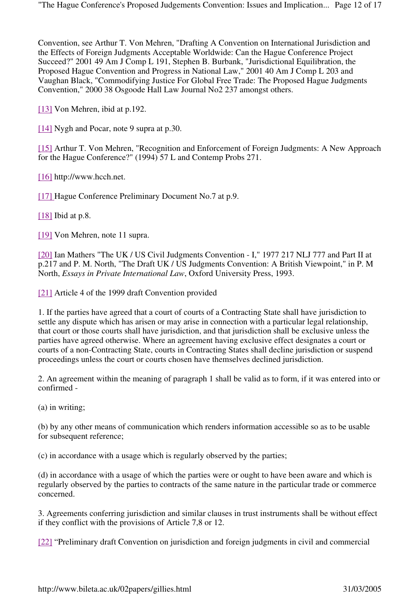Convention, see Arthur T. Von Mehren, "Drafting A Convention on International Jurisdiction and the Effects of Foreign Judgments Acceptable Worldwide: Can the Hague Conference Project Succeed?" 2001 49 Am J Comp L 191, Stephen B. Burbank, "Jurisdictional Equilibration, the Proposed Hague Convention and Progress in National Law," 2001 40 Am J Comp L 203 and Vaughan Black, "Commodifying Justice For Global Free Trade: The Proposed Hague Judgments Convention," 2000 38 Osgoode Hall Law Journal No2 237 amongst others.

[13] Von Mehren, ibid at p.192.

[14] Nygh and Pocar, note 9 supra at p.30.

[15] Arthur T. Von Mehren, "Recognition and Enforcement of Foreign Judgments: A New Approach for the Hague Conference?" (1994) 57 L and Contemp Probs 271.

[16] http://www.hcch.net.

[17] Hague Conference Preliminary Document No.7 at p.9.

[18] Ibid at p.8.

[19] Von Mehren, note 11 supra.

[20] Ian Mathers "The UK / US Civil Judgments Convention - I," 1977 217 NLJ 777 and Part II at p.217 and P. M. North, "The Draft UK / US Judgments Convention: A British Viewpoint," in P. M North, *Essays in Private International Law*, Oxford University Press, 1993.

[21] Article 4 of the 1999 draft Convention provided

1. If the parties have agreed that a court of courts of a Contracting State shall have jurisdiction to settle any dispute which has arisen or may arise in connection with a particular legal relationship, that court or those courts shall have jurisdiction, and that jurisdiction shall be exclusive unless the parties have agreed otherwise. Where an agreement having exclusive effect designates a court or courts of a non-Contracting State, courts in Contracting States shall decline jurisdiction or suspend proceedings unless the court or courts chosen have themselves declined jurisdiction.

2. An agreement within the meaning of paragraph 1 shall be valid as to form, if it was entered into or confirmed -

(a) in writing;

(b) by any other means of communication which renders information accessible so as to be usable for subsequent reference;

(c) in accordance with a usage which is regularly observed by the parties;

(d) in accordance with a usage of which the parties were or ought to have been aware and which is regularly observed by the parties to contracts of the same nature in the particular trade or commerce concerned.

3. Agreements conferring jurisdiction and similar clauses in trust instruments shall be without effect if they conflict with the provisions of Article 7,8 or 12.

[22] "Preliminary draft Convention on jurisdiction and foreign judgments in civil and commercial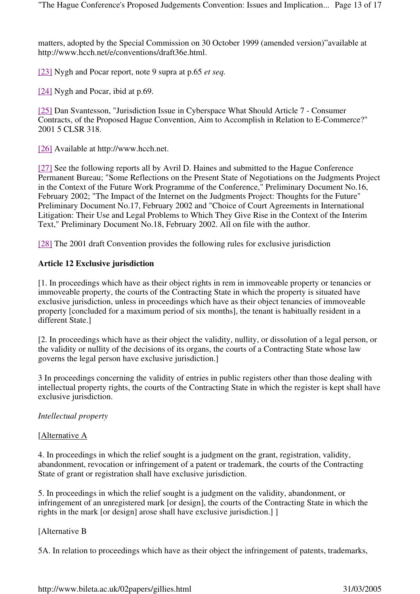matters, adopted by the Special Commission on 30 October 1999 (amended version)"available at http://www.hcch.net/e/conventions/draft36e.html.

[23] Nygh and Pocar report, note 9 supra at p.65 *et seq.*

[24] Nygh and Pocar, ibid at p.69.

[25] Dan Svantesson, "Jurisdiction Issue in Cyberspace What Should Article 7 - Consumer Contracts, of the Proposed Hague Convention, Aim to Accomplish in Relation to E-Commerce?" 2001 5 CLSR 318.

[26] Available at http://www.hcch.net.

[27] See the following reports all by Avril D. Haines and submitted to the Hague Conference Permanent Bureau; "Some Reflections on the Present State of Negotiations on the Judgments Project in the Context of the Future Work Programme of the Conference," Preliminary Document No.16, February 2002; "The Impact of the Internet on the Judgments Project: Thoughts for the Future" Preliminary Document No.17, February 2002 and "Choice of Court Agreements in International Litigation: Their Use and Legal Problems to Which They Give Rise in the Context of the Interim Text," Preliminary Document No.18, February 2002. All on file with the author.

[28] The 2001 draft Convention provides the following rules for exclusive jurisdiction

## **Article 12 Exclusive jurisdiction**

[1. In proceedings which have as their object rights in rem in immoveable property or tenancies or immoveable property, the courts of the Contracting State in which the property is situated have exclusive jurisdiction, unless in proceedings which have as their object tenancies of immoveable property [concluded for a maximum period of six months], the tenant is habitually resident in a different State.]

[2. In proceedings which have as their object the validity, nullity, or dissolution of a legal person, or the validity or nullity of the decisions of its organs, the courts of a Contracting State whose law governs the legal person have exclusive jurisdiction.]

3 In proceedings concerning the validity of entries in public registers other than those dealing with intellectual property rights, the courts of the Contracting State in which the register is kept shall have exclusive jurisdiction.

#### *Intellectual property*

#### [Alternative A

4. In proceedings in which the relief sought is a judgment on the grant, registration, validity, abandonment, revocation or infringement of a patent or trademark, the courts of the Contracting State of grant or registration shall have exclusive jurisdiction.

5. In proceedings in which the relief sought is a judgment on the validity, abandonment, or infringement of an unregistered mark [or design], the courts of the Contracting State in which the rights in the mark [or design] arose shall have exclusive jurisdiction.] ]

## [Alternative B

5A. In relation to proceedings which have as their object the infringement of patents, trademarks,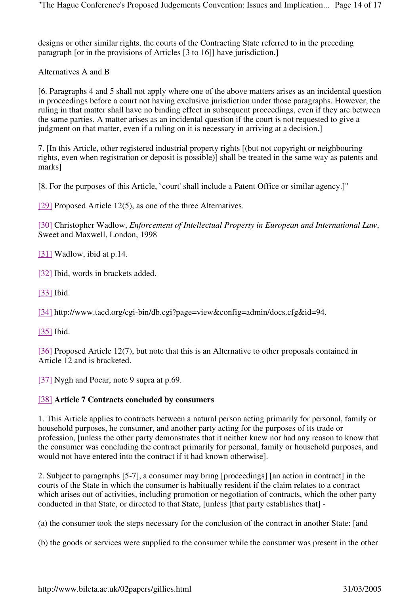designs or other similar rights, the courts of the Contracting State referred to in the preceding paragraph [or in the provisions of Articles [3 to 16]] have jurisdiction.]

Alternatives A and B

[6. Paragraphs 4 and 5 shall not apply where one of the above matters arises as an incidental question in proceedings before a court not having exclusive jurisdiction under those paragraphs. However, the ruling in that matter shall have no binding effect in subsequent proceedings, even if they are between the same parties. A matter arises as an incidental question if the court is not requested to give a judgment on that matter, even if a ruling on it is necessary in arriving at a decision.]

7. [In this Article, other registered industrial property rights [(but not copyright or neighbouring rights, even when registration or deposit is possible)] shall be treated in the same way as patents and marks]

[8. For the purposes of this Article, `court' shall include a Patent Office or similar agency.]"

[29] Proposed Article 12(5), as one of the three Alternatives.

[30] Christopher Wadlow, *Enforcement of Intellectual Property in European and International Law*, Sweet and Maxwell, London, 1998

[31] Wadlow, ibid at p.14.

[32] Ibid, words in brackets added.

[33] Ibid.

[34] http://www.tacd.org/cgi-bin/db.cgi?page=view&config=admin/docs.cfg&id=94.

[35] Ibid.

[36] Proposed Article 12(7), but note that this is an Alternative to other proposals contained in Article 12 and is bracketed.

[37] Nygh and Pocar, note 9 supra at p.69.

#### [38] **Article 7 Contracts concluded by consumers**

1. This Article applies to contracts between a natural person acting primarily for personal, family or household purposes, he consumer, and another party acting for the purposes of its trade or profession, [unless the other party demonstrates that it neither knew nor had any reason to know that the consumer was concluding the contract primarily for personal, family or household purposes, and would not have entered into the contract if it had known otherwise].

2. Subject to paragraphs [5-7], a consumer may bring [proceedings] [an action in contract] in the courts of the State in which the consumer is habitually resident if the claim relates to a contract which arises out of activities, including promotion or negotiation of contracts, which the other party conducted in that State, or directed to that State, [unless [that party establishes that] -

(a) the consumer took the steps necessary for the conclusion of the contract in another State: [and

(b) the goods or services were supplied to the consumer while the consumer was present in the other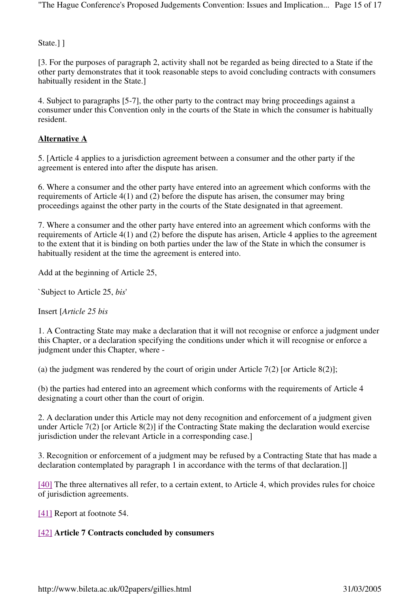State.<sup>1</sup>

[3. For the purposes of paragraph 2, activity shall not be regarded as being directed to a State if the other party demonstrates that it took reasonable steps to avoid concluding contracts with consumers habitually resident in the State.]

4. Subject to paragraphs [5-7], the other party to the contract may bring proceedings against a consumer under this Convention only in the courts of the State in which the consumer is habitually resident.

# **Alternative A**

5. [Article 4 applies to a jurisdiction agreement between a consumer and the other party if the agreement is entered into after the dispute has arisen.

6. Where a consumer and the other party have entered into an agreement which conforms with the requirements of Article 4(1) and (2) before the dispute has arisen, the consumer may bring proceedings against the other party in the courts of the State designated in that agreement.

7. Where a consumer and the other party have entered into an agreement which conforms with the requirements of Article 4(1) and (2) before the dispute has arisen, Article 4 applies to the agreement to the extent that it is binding on both parties under the law of the State in which the consumer is habitually resident at the time the agreement is entered into.

Add at the beginning of Article 25,

`Subject to Article 25, *bis*'

Insert [*Article 25 bis*

1. A Contracting State may make a declaration that it will not recognise or enforce a judgment under this Chapter, or a declaration specifying the conditions under which it will recognise or enforce a judgment under this Chapter, where -

(a) the judgment was rendered by the court of origin under Article 7(2) [or Article 8(2)];

(b) the parties had entered into an agreement which conforms with the requirements of Article 4 designating a court other than the court of origin.

2. A declaration under this Article may not deny recognition and enforcement of a judgment given under Article 7(2) [or Article 8(2)] if the Contracting State making the declaration would exercise jurisdiction under the relevant Article in a corresponding case.]

3. Recognition or enforcement of a judgment may be refused by a Contracting State that has made a declaration contemplated by paragraph 1 in accordance with the terms of that declaration.]

[40] The three alternatives all refer, to a certain extent, to Article 4, which provides rules for choice of jurisdiction agreements.

[41] Report at footnote 54.

## [42] **Article 7 Contracts concluded by consumers**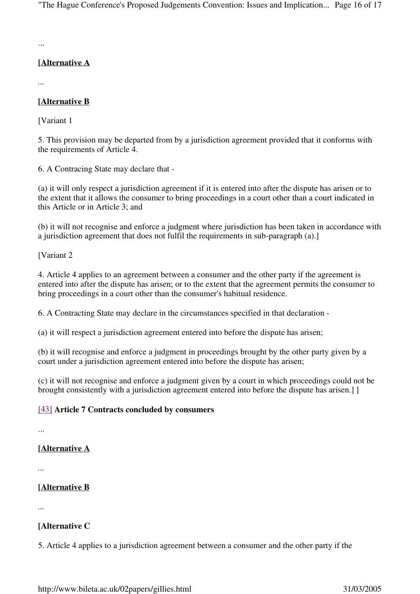...

# **[Alternative A**

*...*

# **[Alternative B**

[Variant 1]

5. This provision may be departed from by a jurisdiction agreement provided that it conforms with the requirements of Article 4.

6. A Contracing State may declare that -

(a) it will only respect a jurisdiction agreement if it is entered into after the dispute has arisen or to the extent that it allows the consumer to bring proceedings in a court other than a court indicated in this Article or in Article 3; and

(b) it will not recognise and enforce a judgment where jurisdiction has been taken in accordance with a jurisdiction agreement that does not fulfil the requirements in sub-paragraph (a).]

[Variant 2]

4. Article 4 applies to an agreement between a consumer and the other party if the agreement is entered into after the dispute has arisen; or to the extent that the agreement permits the consumer to bring proceedings in a court other than the consumer's habitual residence.

6. A Contracting State may declare in the circumstances specified in that declaration -

(a) it will respect a jurisdiction agreement entered into before the dispute has arisen;

(b) it will recognise and enforce a judgment in proceedings brought by the other party given by a court under a jurisdiction agreement entered into before the dispute has arisen;

(c) it will not recognise and enforce a judgment given by a court in which proceedings could not be brought consistently with a jurisdiction agreement entered into before the dispute has arisen.] ]

## [43] **Article 7 Contracts concluded by consumers**

...

# **[Alternative A**

*...*

# **[Alternative B**

*...*

# **[Alternative C**

5. Article 4 applies to a jurisdiction agreement between a consumer and the other party if the